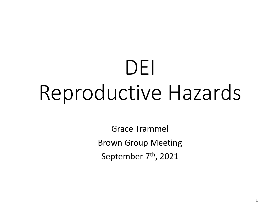## DEI Reproductive Hazards

Grace Trammel Brown Group Meeting September 7<sup>th</sup>, 2021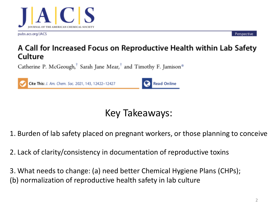

pubs.acs.org/JACS

Perspective

## A Call for Increased Focus on Reproductive Health within Lab Safety Culture

Catherine P. McGeough,<sup>†</sup> Sarah Jane Mear,<sup>†</sup> and Timothy F. Jamison\*



## Key Takeaways:

1. Burden of lab safety placed on pregnant workers, or those planning to conceive

2. Lack of clarity/consistency in documentation of reproductive toxins

3. What needs to change: (a) need better Chemical Hygiene Plans (CHPs); (b) normalization of reproductive health safety in lab culture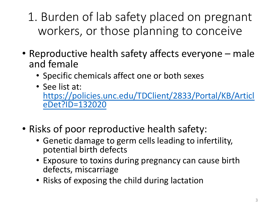1. Burden of lab safety placed on pregnant workers, or those planning to conceive

- Reproductive health safety affects everyone male and female
	- Specific chemicals affect one or both sexes
	- See list at: [https://policies.unc.edu/TDClient/2833/Portal/KB/Articl](https://policies.unc.edu/TDClient/2833/Portal/KB/ArticleDet?ID=132020) eDet?ID=132020
- Risks of poor reproductive health safety:
	- Genetic damage to germ cells leading to infertility, potential birth defects
	- Exposure to toxins during pregnancy can cause birth defects, miscarriage
	- Risks of exposing the child during lactation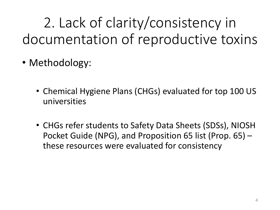- Methodology:
	- Chemical Hygiene Plans (CHGs) evaluated for top 100 US universities
	- CHGs refer students to Safety Data Sheets (SDSs), NIOSH Pocket Guide (NPG), and Proposition 65 list (Prop. 65) – these resources were evaluated for consistency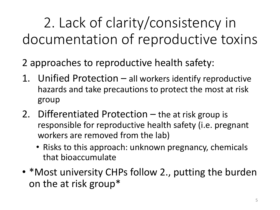2 approaches to reproductive health safety:

- 1. Unified Protection all workers identify reproductive hazards and take precautions to protect the most at risk group
- 2. Differentiated Protection the at risk group is responsible for reproductive health safety (i.e. pregnant workers are removed from the lab)
	- Risks to this approach: unknown pregnancy, chemicals that bioaccumulate
- \*Most university CHPs follow 2., putting the burden on the at risk group\*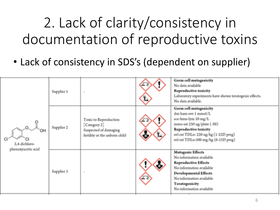• Lack of consistency in SDS's (dependent on supplier)

| OH<br>2,4-dichloro-<br>phenoxyacetic acid | Supplier 1 | $\sim$                                                                                         | <b>Germ cell mutagenicity</b><br>No data available<br><b>Reproductive toxicity</b><br>Laboratory experiments have shown teratogenic effects.<br>No data available.                                                        |
|-------------------------------------------|------------|------------------------------------------------------------------------------------------------|---------------------------------------------------------------------------------------------------------------------------------------------------------------------------------------------------------------------------|
|                                           | Supplier 2 | Toxic to Reproduction<br>Category 2]<br>Suspected of damaging<br>fertility or the unborn child | <b>Germ cell mutagenicity</b><br>dni-ham-ovr 1 mmol/L<br>sce-hmn-lym 10 mg/L<br>mmo-sat 250 ug/plate (-S9)<br><b>Reproductive toxicity</b><br>orl-rat TDLo: 220 ug/kg (1-22D preg)<br>orl-rat TDLo:500 mg/kg (6-15D preg) |
|                                           | Supplier 3 | $\sim$                                                                                         | <b>Mutagenic Effects</b><br>No information available<br><b>Reproductive Effects</b><br>No information available<br><b>Developmental Effects</b><br>No information available<br>Teratogenicity<br>No information available |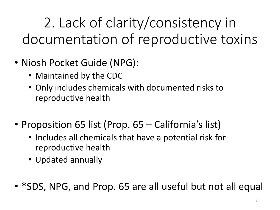- Niosh Pocket Guide (NPG):
	- Maintained by the CDC
	- Only includes chemicals with documented risks to reproductive health
- Proposition 65 list (Prop. 65 California's list)
	- Includes all chemicals that have a potential risk for reproductive health
	- Updated annually
- \*SDS, NPG, and Prop. 65 are all useful but not all equal